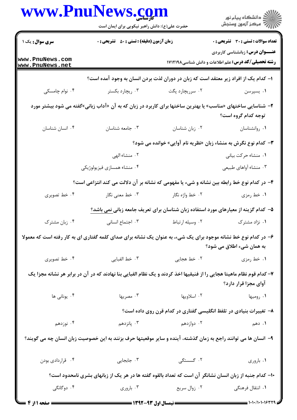|                                    | www.PnuNews.com<br>حضرت علی(ع): دانش راهبر نیکویی برای ایمان است                                                      |                                 | ڪ دانشڪاه پيام نور<br><mark>ر</mark> ⊽ مرڪز آزمون وسنڊش                                               |
|------------------------------------|-----------------------------------------------------------------------------------------------------------------------|---------------------------------|-------------------------------------------------------------------------------------------------------|
| سری سوال: یک ۱                     | <b>زمان آزمون (دقیقه) : تستی : 80 ٪ تشریحی : 0</b>                                                                    |                                 | <b>تعداد سوالات : تستی : 30 - تشریحی : 0</b>                                                          |
| www.PnuNews.com<br>www.PnuNews.net |                                                                                                                       |                                 | <b>عنــــوان درس:</b> زبانشناسی کاربردی<br><b>رشته تحصیلی/کد درس:</b> علم اطلاعات و دانش شناسی۱۷۱۲۱۹۸ |
|                                    | ا– کدام یک از افراد زیر معتقد است که زبان در دوران لذت بردن انسان به وجود آمده است؟                                   |                                 |                                                                                                       |
| ۰۴ نوام چامسکی                     | ۰۳ ریچارد بکستر                                                                                                       | ۰۲ سرریچارد پگت                 | ۰۱ يسپرسن                                                                                             |
|                                    | ۲– شناسایی ساختهای «مناسب» یا بهترین ساختها برای کاربرد در زبان که به آن «آداب زبانی»گفته می شود بیشتر مورد           |                                 | توجه کدام گروه است؟                                                                                   |
| ۰۴ انسان شناسان                    | ۰۳ جامعه شناسان                                                                                                       | ۰۲ زبان شناسان                  | ٠١ روانشناسان                                                                                         |
|                                    |                                                                                                                       |                                 | ۳- کدام نوع نگرش به منشاء زبان «نظریه نام آوایی» خوانده می شود؟                                       |
|                                    | ۰۲ منشاء الهي                                                                                                         |                                 | ٠١ منشاء حركت بياني                                                                                   |
|                                    | ۰۴ منشاء همسازی فیزیولوژیکی                                                                                           |                                 | ۰۳ منشاء أواهاي طبيعي                                                                                 |
|                                    | ۴- در کدام نوع خط رابطه بین نشانه و شیء یا مفهومی که نشانه بر آن دلالت می کند انتزاعی است؟                            |                                 |                                                                                                       |
| ۰۴ خط تصویری                       | ۰۳ خط معنى نگار                                                                                                       | ۰۲ خط واژه نگار                 | ۰۱ خط رمزي                                                                                            |
|                                    | ۵– کدام گزینه از معیارهای مورد استفاده زبان شناسان برای تعریف جامعه زبانی نمی باشد؟                                   |                                 |                                                                                                       |
| ۰۴ زبان مشترک                      | ۰۳ اجتماع انسانی                                                                                                      | ۰۲ وسیله ارتباط                 | ۰۱ نژاد مشترک                                                                                         |
|                                    | ۶– در کدام نوع خط نشانه موجود برای یک شیء، به عنوان یک نشانه برای صدای کلمه گفتاری ای به کار رفته است که معمولا       |                                 | به همان شيء اطلاق مي شود؟                                                                             |
| ۰۴ خط تصویری                       | ۰۳ خط الفبایی                                                                                                         | ۰۲ خط هجایی                     | ۰۱ خط رمزي                                                                                            |
|                                    | ۷– کدام قوم نظام ماهیتا هجایی را از فنیقیها اخذ کردند و یک نظام الفبایی بنا نهادند که در آن در برابر هر نشانه مجزا یک |                                 | آوای مجزا قرار دارد؟                                                                                  |
| ۰۴ يوناني ها                       | ۰۳ مصریها                                                                                                             | ۰۲ اسلاویها                     | ۰۱ رومیها                                                                                             |
|                                    |                                                                                                                       |                                 | ۸– تغییرات بنیادی در تلفظ انگلیسی گفتاری در کدام قرن روی داده است؟                                    |
| ۰۴ نوزدهم                          |                                                                                                                       | ۱. دهم کا دوازدهم کا ۱۳ میلادهم |                                                                                                       |
|                                    | ۹–  انسان ها می توانند راجع به زمان گذشته، آینده و سایر موقعیتها حرف بزنند به این خصوصیت زبان انسان چه می گویند؟      |                                 |                                                                                                       |
| ۰۴ قراردادي بودن                   | ۰۳ جابجایی $\cdot$                                                                                                    | ۲. گسستگی                       | ٠١ باروري                                                                                             |
|                                    | ۱۰– کدام جنبه از زبان انسان نشانگر آن است که تعداد بالقوه گفته ها در هر یک از زبانهای بشری نامحدود است؟               |                                 |                                                                                                       |
| ۰۴ دوگانگی                         | . باروری $\cdot$ ۳                                                                                                    |                                 | ۰۱ انتقال فرهنگی مسمعه است. ۲۰ زوال سریع                                                              |
| = صفحه ۱ از ۴                      |                                                                                                                       |                                 |                                                                                                       |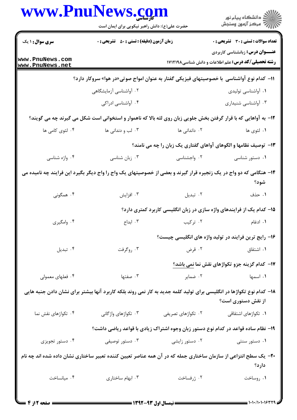|                                    | <b>www.PnuNews.col</b><br>حضرت علی(ع): دانش راهبر نیکویی برای ایمان است                                              |                    | ڪ دانشڪاه پيام نور<br>پ <sup>ر</sup> مرڪز آزمون وسنڊش                                                |
|------------------------------------|----------------------------------------------------------------------------------------------------------------------|--------------------|------------------------------------------------------------------------------------------------------|
| سری سوال: ۱ یک                     | <b>زمان آزمون (دقیقه) : تستی : 50 ٪ تشریحی : 0</b>                                                                   |                    | تعداد سوالات : تستي : 30 قشريحي : 0                                                                  |
| www.PnuNews.com<br>www.PnuNews.net |                                                                                                                      |                    | <b>عنـــوان درس:</b> زبانشناسی کاربردی<br><b>رشته تحصیلی/کد درس:</b> علم اطلاعات و دانش شناسی۱۷۱۲۱۹۸ |
|                                    | ۱۱− کدام نوع آواشناسی  با خصوصیتهای فیزیکی گفتار به عنوان امواج صوتی«در هوا» سروکار دارد؟                            |                    |                                                                                                      |
|                                    | ۰۲ آواشناسی آزمایشگاهی                                                                                               |                    | ۰۱ آواشناسی تولیدی                                                                                   |
|                                    | ۰۴ آواشناسی ادراکی                                                                                                   |                    | ۰۳ آواشناسی شنیداری                                                                                  |
|                                    | ۱۲- به آواهایی که با قرار گرفتن بخش جلویی زبان روی لثه بالا که ناهموار و استخوانی است شکل می گیرند چه می گویند؟      |                    |                                                                                                      |
| ۰۴ لثوی کامی ها                    | ۰۳ لب و دندانی ها                                                                                                    | ۰۲ داندانی ها      | ١. لثوى ها                                                                                           |
|                                    |                                                                                                                      |                    | ۱۳- توصیف نظامها و الگوهای آواهای گفتاری یک زبان را چه می نامند؟                                     |
| ۰۴ واژه شناسی                      | ۰۳ زبان شناسی                                                                                                        | ۰۲ واجشناسی        | ۰۱ دستور شناسی                                                                                       |
|                                    | ۱۴– هنگامی که دو واج در یک زنجیره قرار گیرند و بعضی از خصوصیتهای یک واج را واج دیگر بگیرد این فرایند چه نامیده می    |                    | شود؟                                                                                                 |
| ۰۴ همگونی                          | ۰۳ افزایش                                                                                                            | ۰۲ تبدیل           | ۰۱ حذف                                                                                               |
|                                    |                                                                                                                      |                    | ۱۵– کدام یک از فرایندهای واژه سازی در زبان انگلیسی کاربرد کمتری دارد؟                                |
| ۰۴ وامگیری                         | ۰۳ ابداع                                                                                                             | ۰۲ ترکیب           | ۰۱ ادغام                                                                                             |
|                                    |                                                                                                                      |                    | ۱۶– رایج ترین فرایند در تولید واژه های انگلیسی چیست؟                                                 |
| ۰۴ تبدیل                           | ۰۳ روگرفت                                                                                                            |                    | ۰۲ قرض<br>۰۱ اشتقاق                                                                                  |
|                                    |                                                                                                                      |                    | 17- کدام گزینه جزو تکواژهای نقش نما نمی باشد؟                                                        |
| ۰۴ فعلهای معمولی                   | ۰۳ صفتها                                                                                                             | ۰۲ ضمایر           | ۰۱ اسمها                                                                                             |
|                                    | ۱۸– کدام نوع تکواژها در انگلیسی برای تولید کلمه جدید به کار نمی روند بلکه کاربرد آنها بیشتر برای نشان دادن جنبه هایی |                    | از نقش دستوری است؟                                                                                   |
| ۰۴ تکواژهای نقش نما                | ۰۳ تکواژهای واژگانی                                                                                                  | ۰۲ تکواژهای تصریفی | <b>۱</b> . تکواژهای اشتقاقی                                                                          |
|                                    |                                                                                                                      |                    | ۱۹- نظام ساده قواعد در کدام نوع دستور زبان وجوه اشتراک زیادی با قواعد ریاضی داشت؟                    |
| ۰۴ دستور تجویزی                    | ۰۳ دستور توصیفی                                                                                                      | ۰۲ دستور زایشی     | ۰۱ دستور سنتی                                                                                        |
|                                    | +۲- یک سطح انتزاعی از سازمان ساختاری جمله که در آن همه عناصر تعیین کننده تعبیر ساختاری نشان داده شده اند چه نام      |                    | دارد؟                                                                                                |
| ۰۴ میانساخت                        | ۰۳ ابهام ساختاری                                                                                                     | ۰۲ ژرفساخت         | ٠١ روساخت                                                                                            |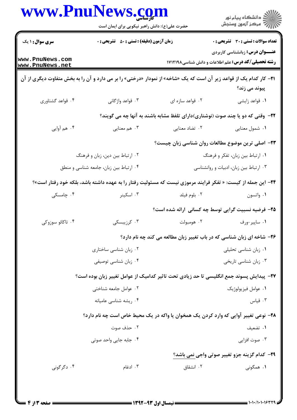|                                    | حضرت علی(ع): دانش راهبر نیکویی برای ایمان است                                                                        |                                                                                | ڪ دانشڪاه پيام نور<br>/7 مرڪز آزمون وسنڊش                                                            |
|------------------------------------|----------------------------------------------------------------------------------------------------------------------|--------------------------------------------------------------------------------|------------------------------------------------------------------------------------------------------|
| <b>سری سوال : ۱ یک</b>             | <b>زمان آزمون (دقیقه) : تستی : 50 ٪ تشریحی : 0</b>                                                                   |                                                                                | <b>تعداد سوالات : تستی : 30 ٪ تشریحی : 0</b>                                                         |
| www.PnuNews.com<br>www.PnuNews.net |                                                                                                                      |                                                                                | <b>عنـــوان درس:</b> زبانشناسی کاربردی<br><b>رشته تحصیلی/کد درس:</b> علم اطلاعات و دانش شناسی۱۷۱۲۱۹۸ |
|                                    | 21− کار کدام یک از قواعد زیر آن است که یک «شاخه» از نمودار «درختی» را بر می دارد و آن را به بخش متفاوت دیگری از آن   |                                                                                | پیوند می زند؟                                                                                        |
| ۰۴ قواعد گشتاوري                   | ۰۳ قواعد واژگانی                                                                                                     | ۰۲ قواعد سازه ای                                                               | ۰۱ قواعد زايشي                                                                                       |
|                                    |                                                                                                                      | ۲۲- وقتی که دو یا چند صوت (نوشتاری)دارای تلفظ مشابه باشند به آنها چه می گویند؟ |                                                                                                      |
| ۰۴ هم آوايي                        | ۰۳ هم معنایی                                                                                                         | ۰۲ تضاد معنایی                                                                 | ٠١ شمول معنايي                                                                                       |
|                                    |                                                                                                                      | ۲۳- اصلی ترین موضوع مطالعات روان شناسی زبان چیست؟                              |                                                                                                      |
|                                    | ۰۲ ارتباط بین دین، زبان و فرهنگ                                                                                      |                                                                                | ۰۱ ارتباط بین زبان، تفکر و فرهنگ                                                                     |
|                                    | ۰۴ ارتباط بین زبان، جامعه شناسی و منطق                                                                               |                                                                                | ۰۳ ارتباط بین زبان، ادبیات و روانشناسی                                                               |
|                                    | <b>۳۴</b> – این جمله از کیست: « تفکر فرایند مرموزی نیست که مسئولیت رفتار را به عهده داشته باشد، بلکه خود رفتار است»؟ |                                                                                |                                                                                                      |
| ۰۴ چامسکی                          | ۰۳ اسکینر                                                                                                            | ۰۲ بلوم فيلد                                                                   | ۰۱ واتسون                                                                                            |
|                                    |                                                                                                                      | ۲۵- فرضیه نسبیت گرایی توسط چه کسانی ارائه شده است؟                             |                                                                                                      |
| ۰۴ تاکائو سوزوکی                   | ۰۳ کرزیبسکی                                                                                                          | ۰۲ هومبولت                                                                     | ۰۱ ساپير-ورف                                                                                         |
|                                    |                                                                                                                      | ۲۶- شاخه ای زبان شناسی که در باب تغییر زبان مطالعه می کند چه نام دارد؟         |                                                                                                      |
|                                    | ۰۲ زبان شناسی ساختاری                                                                                                |                                                                                | ۰۱ زبان شناسی تحلیلی                                                                                 |
|                                    | ۰۴ زبان شناسی توصیفی                                                                                                 |                                                                                | ۰۳ زبان شناسی تاریخی                                                                                 |
|                                    | ٢٧- پيدايش پسوند جمع انگليسي تا حد زيادي تحت تاثير كداميک از عوامل تغيير زبان بوده است؟                              |                                                                                |                                                                                                      |
|                                    | ٠٢ عوامل جامعه شناختى                                                                                                |                                                                                | ۰۱ عوامل فيزيولوژيک                                                                                  |
|                                    | ۰۴ ریشه شناسی عامیانه                                                                                                |                                                                                | ۰۳ قیاس                                                                                              |
|                                    | ۲۸- نوعی تغییر آوایی که وارد کردن یک همخوان یا واکه در یک محیط خاص است چه نام دارد؟                                  |                                                                                |                                                                                                      |
|                                    | ۰۲ حذف صوت                                                                                                           |                                                                                | ۰۱ تضعیف                                                                                             |
|                                    | ۰۴ جابه جایی واحد صوتی                                                                                               |                                                                                | ۰۳ صوت افزایی                                                                                        |
|                                    |                                                                                                                      |                                                                                | <b>۲۹</b> - کدام گزینه جزو تغییر صوتی واجی نمی باشد؟                                                 |
| ۰۴ دگرگونی                         | ۰۳ ادغام                                                                                                             | ۰۲ انشقاق                                                                      | ۱. همگونی                                                                                            |